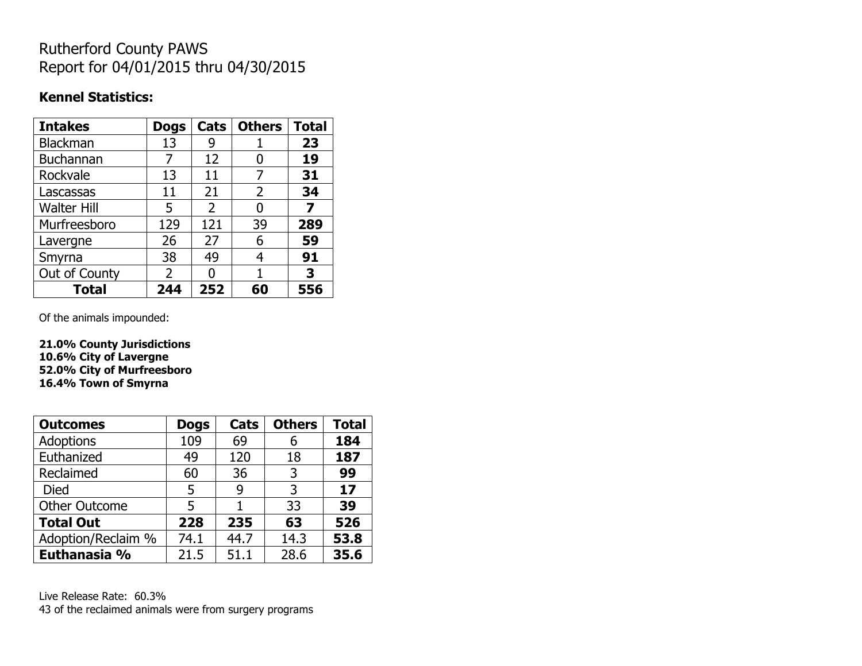# Rutherford County PAWS Report for 04/01/2015 thru 04/30/2015

#### **Kennel Statistics:**

| <b>Intakes</b>     | <b>Dogs</b>    | Cats | <b>Others</b> | <b>Total</b> |
|--------------------|----------------|------|---------------|--------------|
| <b>Blackman</b>    | 13             | 9    |               | 23           |
| <b>Buchannan</b>   |                | 12   | 0             | 19           |
| Rockvale           | 13             | 11   | 7             | 31           |
| Lascassas          | 11             | 21   | 2             | 34           |
| <b>Walter Hill</b> | 5              | 2    | 0             | 7            |
| Murfreesboro       | 129            | 121  | 39            | 289          |
| Lavergne           | 26             | 27   | 6             | 59           |
| Smyrna             | 38             | 49   | 4             | 91           |
| Out of County      | $\overline{2}$ | n    |               | 3            |
| <b>Total</b>       | 244            | 252  | 60            | 556          |

Of the animals impounded:

**21.0% County Jurisdictions 10.6% City of Lavergne 52.0% City of Murfreesboro 16.4% Town of Smyrna**

| <b>Outcomes</b>      | <b>Dogs</b> | Cats | <b>Others</b> | <b>Total</b> |
|----------------------|-------------|------|---------------|--------------|
| <b>Adoptions</b>     | 109         | 69   | 6             | 184          |
| Euthanized           | 49          | 120  | 18            | 187          |
| Reclaimed            | 60          | 36   | 3             | 99           |
| <b>Died</b>          | 5           | 9    | 3             | 17           |
| <b>Other Outcome</b> | 5           |      | 33            | 39           |
| <b>Total Out</b>     | 228         | 235  | 63            | 526          |
| Adoption/Reclaim %   | 74.1        | 44.7 | 14.3          | 53.8         |
| Euthanasia %         | 21.5        | 51.1 | 28.6          | 35.6         |

Live Release Rate: 60.3% 43 of the reclaimed animals were from surgery programs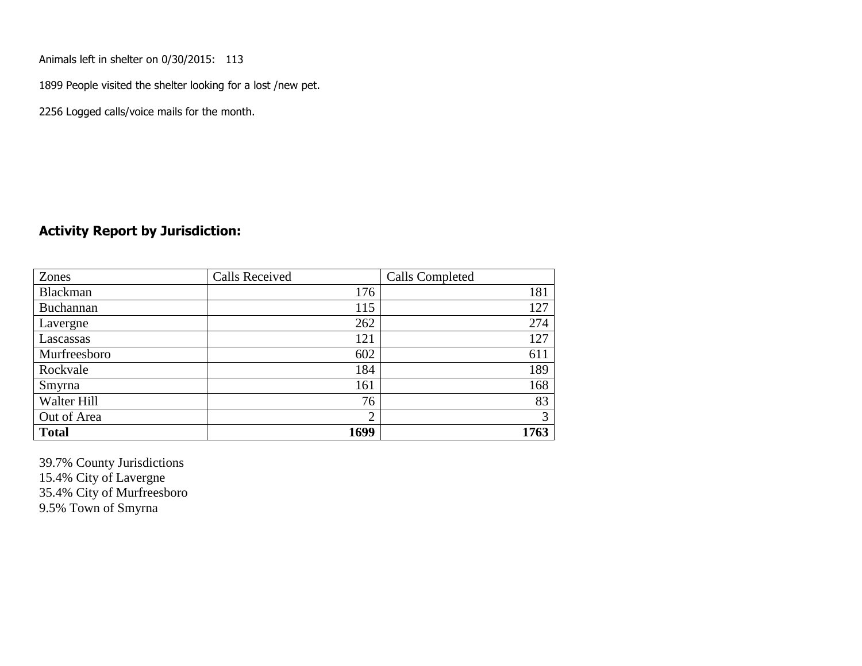Animals left in shelter on 0/30/2015: 113

1899 People visited the shelter looking for a lost /new pet.

2256 Logged calls/voice mails for the month.

#### **Activity Report by Jurisdiction:**

| Zones           | <b>Calls Received</b> | Calls Completed |
|-----------------|-----------------------|-----------------|
| <b>Blackman</b> | 176                   | 181             |
| Buchannan       | 115                   | 127             |
| Lavergne        | 262                   | 274             |
| Lascassas       | 121                   | 127             |
| Murfreesboro    | 602                   | 611             |
| Rockvale        | 184                   | 189             |
| Smyrna          | 161                   | 168             |
| Walter Hill     | 76                    | 83              |
| Out of Area     | $\overline{2}$        | 3               |
| <b>Total</b>    | 1699                  | 1763            |

39.7% County Jurisdictions 15.4% City of Lavergne 35.4% City of Murfreesboro 9.5% Town of Smyrna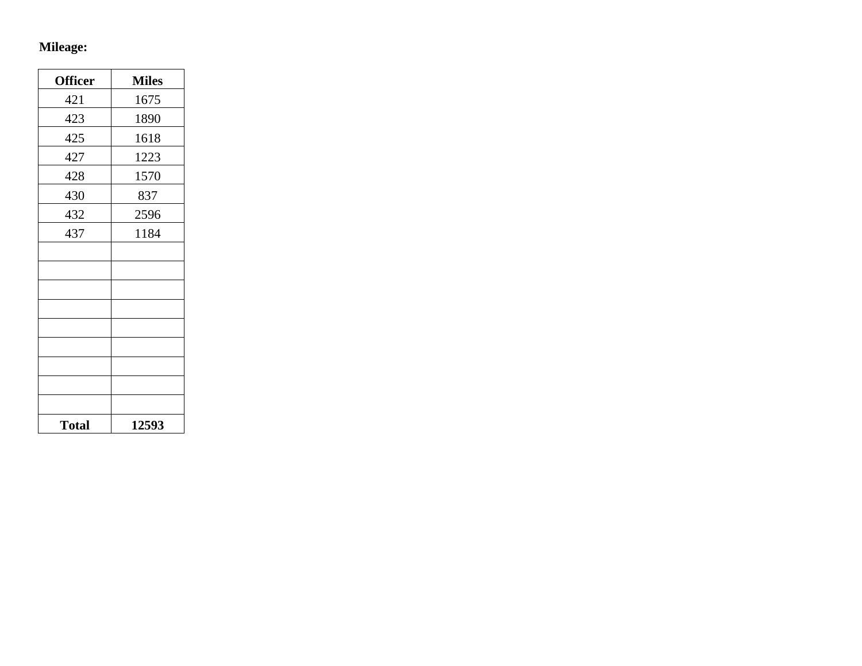# **Mileage:**

| <b>Officer</b> | <b>Miles</b> |
|----------------|--------------|
| 421            | 1675         |
| 423            | 1890         |
| 425            | 1618         |
| 427            | 1223         |
| 428            | 1570         |
| 430            | 837          |
| 432            | 2596         |
| 437            | 1184         |
|                |              |
|                |              |
|                |              |
|                |              |
|                |              |
|                |              |
|                |              |
|                |              |
|                |              |
| <b>Total</b>   | 12593        |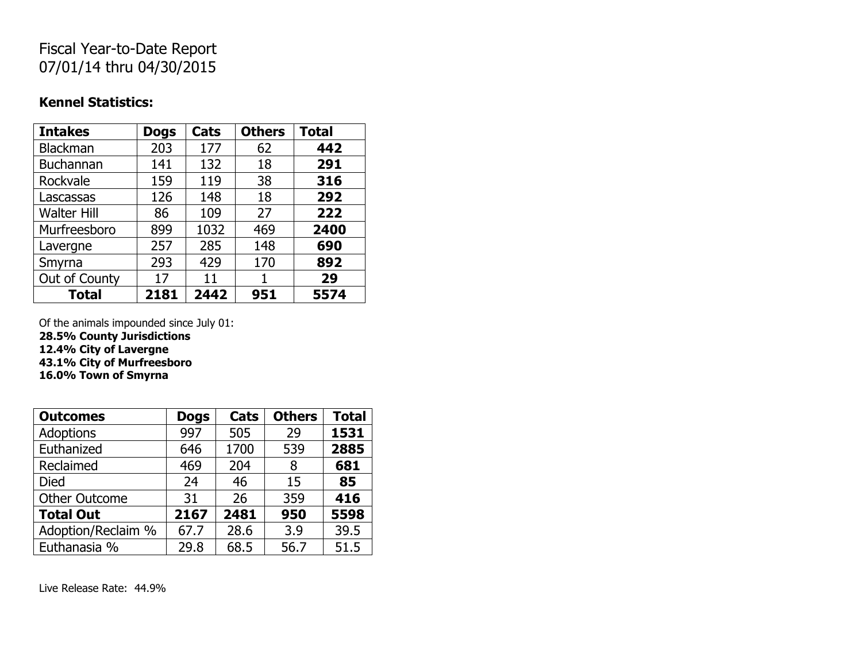## Fiscal Year-to-Date Report 07/01/14 thru 04/30/2015

#### **Kennel Statistics:**

| <b>Intakes</b>     | <b>Dogs</b> | Cats | <b>Others</b> | <b>Total</b> |
|--------------------|-------------|------|---------------|--------------|
| <b>Blackman</b>    | 203         | 177  | 62            | 442          |
| Buchannan          | 141         | 132  | 18            | 291          |
| Rockvale           | 159         | 119  | 38            | 316          |
| Lascassas          | 126         | 148  | 18            | 292          |
| <b>Walter Hill</b> | 86          | 109  | 27            | 222          |
| Murfreesboro       | 899         | 1032 | 469           | 2400         |
| Lavergne           | 257         | 285  | 148           | 690          |
| Smyrna             | 293         | 429  | 170           | 892          |
| Out of County      | 17          | 11   |               | 29           |
| <b>Total</b>       | 2181        | 2442 | 951           | 5574         |

Of the animals impounded since July 01: **28.5% County Jurisdictions**

**12.4% City of Lavergne**

**43.1% City of Murfreesboro 16.0% Town of Smyrna**

| <b>Outcomes</b>      | <b>Dogs</b> | Cats | <b>Others</b> | <b>Total</b> |
|----------------------|-------------|------|---------------|--------------|
| Adoptions            | 997         | 505  | 29            | 1531         |
| Euthanized           | 646         | 1700 | 539           | 2885         |
| Reclaimed            | 469         | 204  | 8             | 681          |
| Died                 | 24          | 46   | 15            | 85           |
| <b>Other Outcome</b> | 31          | 26   | 359           | 416          |
| <b>Total Out</b>     | 2167        | 2481 | 950           | 5598         |
| Adoption/Reclaim %   | 67.7        | 28.6 | 3.9           | 39.5         |
| Euthanasia %         | 29.8        | 68.5 | 56.7          | 51.5         |

Live Release Rate: 44.9%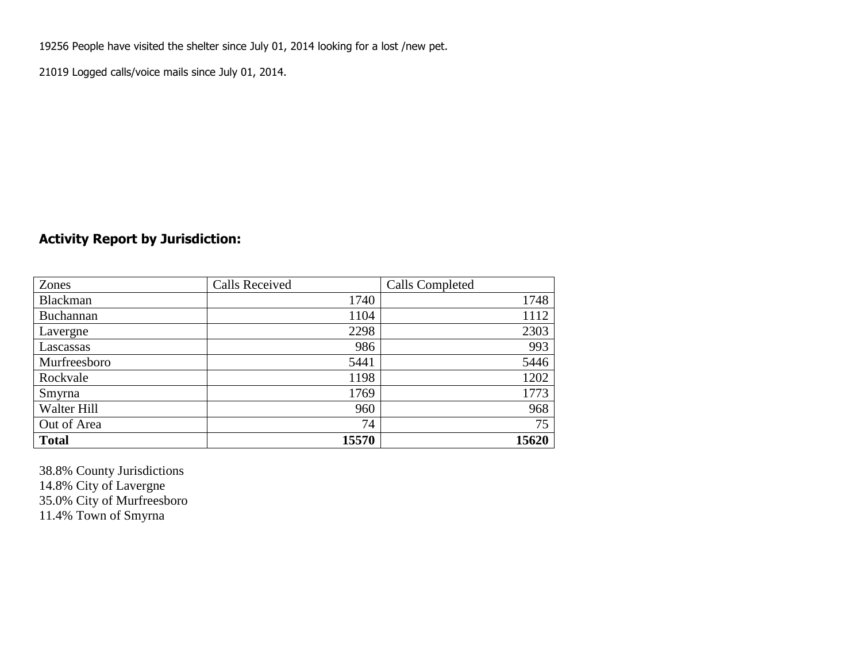19256 People have visited the shelter since July 01, 2014 looking for a lost /new pet.

21019 Logged calls/voice mails since July 01, 2014.

### **Activity Report by Jurisdiction:**

| Zones           | <b>Calls Received</b> | Calls Completed |
|-----------------|-----------------------|-----------------|
| <b>Blackman</b> | 1740                  | 1748            |
| Buchannan       | 1104                  | 1112            |
| Lavergne        | 2298                  | 2303            |
| Lascassas       | 986                   | 993             |
| Murfreesboro    | 5441                  | 5446            |
| Rockvale        | 1198                  | 1202            |
| Smyrna          | 1769                  | 1773            |
| Walter Hill     | 960                   | 968             |
| Out of Area     | 74                    | 75              |
| <b>Total</b>    | 15570                 | 15620           |

38.8% County Jurisdictions 14.8% City of Lavergne 35.0% City of Murfreesboro 11.4% Town of Smyrna